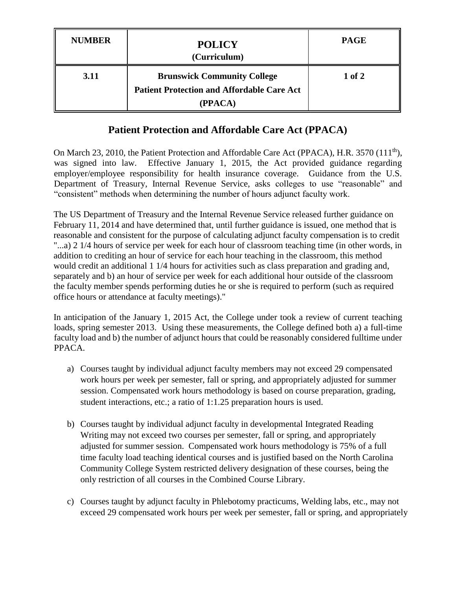| <b>NUMBER</b> | <b>POLICY</b><br>(Curriculum)                                                                      | <b>PAGE</b> |
|---------------|----------------------------------------------------------------------------------------------------|-------------|
| 3.11          | <b>Brunswick Community College</b><br><b>Patient Protection and Affordable Care Act</b><br>(PPACA) | $1$ of $2$  |

## **Patient Protection and Affordable Care Act (PPACA)**

On March 23, 2010, the Patient Protection and Affordable Care Act (PPACA), H.R. 3570 (111<sup>th</sup>), was signed into law. Effective January 1, 2015, the Act provided guidance regarding employer/employee responsibility for health insurance coverage. Guidance from the U.S. Department of Treasury, Internal Revenue Service, asks colleges to use "reasonable" and "consistent" methods when determining the number of hours adjunct faculty work.

The US Department of Treasury and the Internal Revenue Service released further guidance on February 11, 2014 and have determined that, until further guidance is issued, one method that is reasonable and consistent for the purpose of calculating adjunct faculty compensation is to credit "...a) 2 1/4 hours of service per week for each hour of classroom teaching time (in other words, in addition to crediting an hour of service for each hour teaching in the classroom, this method would credit an additional 1 1/4 hours for activities such as class preparation and grading and, separately and b) an hour of service per week for each additional hour outside of the classroom the faculty member spends performing duties he or she is required to perform (such as required office hours or attendance at faculty meetings)."

In anticipation of the January 1, 2015 Act, the College under took a review of current teaching loads, spring semester 2013. Using these measurements, the College defined both a) a full-time faculty load and b) the number of adjunct hours that could be reasonably considered fulltime under PPACA.

- a) Courses taught by individual adjunct faculty members may not exceed 29 compensated work hours per week per semester, fall or spring, and appropriately adjusted for summer session. Compensated work hours methodology is based on course preparation, grading, student interactions, etc.; a ratio of 1:1.25 preparation hours is used.
- b) Courses taught by individual adjunct faculty in developmental Integrated Reading Writing may not exceed two courses per semester, fall or spring, and appropriately adjusted for summer session. Compensated work hours methodology is 75% of a full time faculty load teaching identical courses and is justified based on the North Carolina Community College System restricted delivery designation of these courses, being the only restriction of all courses in the Combined Course Library.
- c) Courses taught by adjunct faculty in Phlebotomy practicums, Welding labs, etc., may not exceed 29 compensated work hours per week per semester, fall or spring, and appropriately